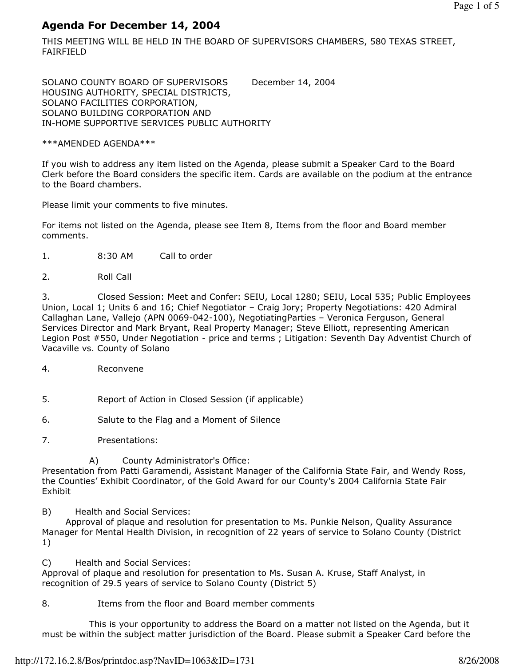# Agenda For December 14, 2004

THIS MEETING WILL BE HELD IN THE BOARD OF SUPERVISORS CHAMBERS, 580 TEXAS STREET, FAIRFIELD

SOLANO COUNTY BOARD OF SUPERVISORS December 14, 2004 HOUSING AUTHORITY, SPECIAL DISTRICTS, SOLANO FACILITIES CORPORATION, SOLANO BUILDING CORPORATION AND IN-HOME SUPPORTIVE SERVICES PUBLIC AUTHORITY

\*\*\*AMENDED AGENDA\*\*\*

If you wish to address any item listed on the Agenda, please submit a Speaker Card to the Board Clerk before the Board considers the specific item. Cards are available on the podium at the entrance to the Board chambers.

Please limit your comments to five minutes.

For items not listed on the Agenda, please see Item 8, Items from the floor and Board member comments.

- 1. 8:30 AM Call to order
- 2. Roll Call

3. Closed Session: Meet and Confer: SEIU, Local 1280; SEIU, Local 535; Public Employees Union, Local 1; Units 6 and 16; Chief Negotiator – Craig Jory; Property Negotiations: 420 Admiral Callaghan Lane, Vallejo (APN 0069-042-100), NegotiatingParties – Veronica Ferguson, General Services Director and Mark Bryant, Real Property Manager; Steve Elliott, representing American Legion Post #550, Under Negotiation - price and terms ; Litigation: Seventh Day Adventist Church of Vacaville vs. County of Solano

- 4. Reconvene
- 5. Report of Action in Closed Session (if applicable)
- 6. Salute to the Flag and a Moment of Silence
- 7. Presentations:

A) County Administrator's Office:

Presentation from Patti Garamendi, Assistant Manager of the California State Fair, and Wendy Ross, the Counties' Exhibit Coordinator, of the Gold Award for our County's 2004 California State Fair Exhibit

B) Health and Social Services:

 Approval of plaque and resolution for presentation to Ms. Punkie Nelson, Quality Assurance Manager for Mental Health Division, in recognition of 22 years of service to Solano County (District 1)

C) Health and Social Services:

Approval of plaque and resolution for presentation to Ms. Susan A. Kruse, Staff Analyst, in recognition of 29.5 years of service to Solano County (District 5)

8. Items from the floor and Board member comments

 This is your opportunity to address the Board on a matter not listed on the Agenda, but it must be within the subject matter jurisdiction of the Board. Please submit a Speaker Card before the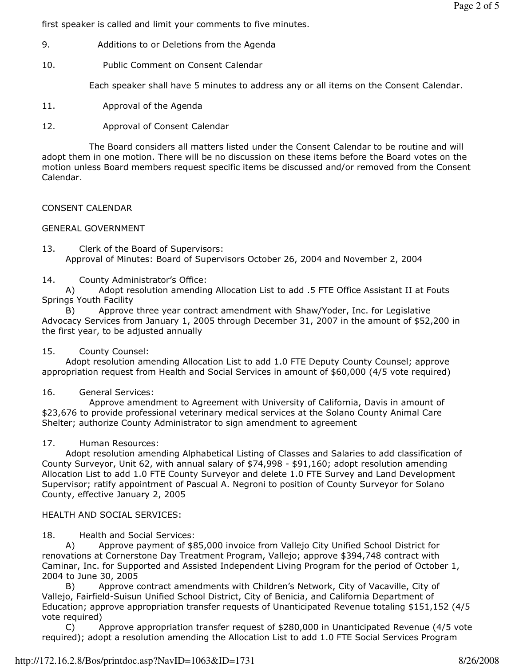first speaker is called and limit your comments to five minutes.

- 9. Additions to or Deletions from the Agenda
- 10. Public Comment on Consent Calendar

Each speaker shall have 5 minutes to address any or all items on the Consent Calendar.

- 11. Approval of the Agenda
- 12. Approval of Consent Calendar

 The Board considers all matters listed under the Consent Calendar to be routine and will adopt them in one motion. There will be no discussion on these items before the Board votes on the motion unless Board members request specific items be discussed and/or removed from the Consent Calendar.

# CONSENT CALENDAR

# GENERAL GOVERNMENT

13. Clerk of the Board of Supervisors: Approval of Minutes: Board of Supervisors October 26, 2004 and November 2, 2004

14. County Administrator's Office:

 A) Adopt resolution amending Allocation List to add .5 FTE Office Assistant II at Fouts Springs Youth Facility

 B) Approve three year contract amendment with Shaw/Yoder, Inc. for Legislative Advocacy Services from January 1, 2005 through December 31, 2007 in the amount of \$52,200 in the first year, to be adjusted annually

# 15. County Counsel:

 Adopt resolution amending Allocation List to add 1.0 FTE Deputy County Counsel; approve appropriation request from Health and Social Services in amount of \$60,000 (4/5 vote required)

# 16. General Services:

 Approve amendment to Agreement with University of California, Davis in amount of \$23,676 to provide professional veterinary medical services at the Solano County Animal Care Shelter; authorize County Administrator to sign amendment to agreement

# 17. Human Resources:

 Adopt resolution amending Alphabetical Listing of Classes and Salaries to add classification of County Surveyor, Unit 62, with annual salary of \$74,998 - \$91,160; adopt resolution amending Allocation List to add 1.0 FTE County Surveyor and delete 1.0 FTE Survey and Land Development Supervisor; ratify appointment of Pascual A. Negroni to position of County Surveyor for Solano County, effective January 2, 2005

# HEALTH AND SOCIAL SERVICES:

18. Health and Social Services:

 A) Approve payment of \$85,000 invoice from Vallejo City Unified School District for renovations at Cornerstone Day Treatment Program, Vallejo; approve \$394,748 contract with Caminar, Inc. for Supported and Assisted Independent Living Program for the period of October 1, 2004 to June 30, 2005

 B) Approve contract amendments with Children's Network, City of Vacaville, City of Vallejo, Fairfield-Suisun Unified School District, City of Benicia, and California Department of Education; approve appropriation transfer requests of Unanticipated Revenue totaling \$151,152 (4/5 vote required)

 C) Approve appropriation transfer request of \$280,000 in Unanticipated Revenue (4/5 vote required); adopt a resolution amending the Allocation List to add 1.0 FTE Social Services Program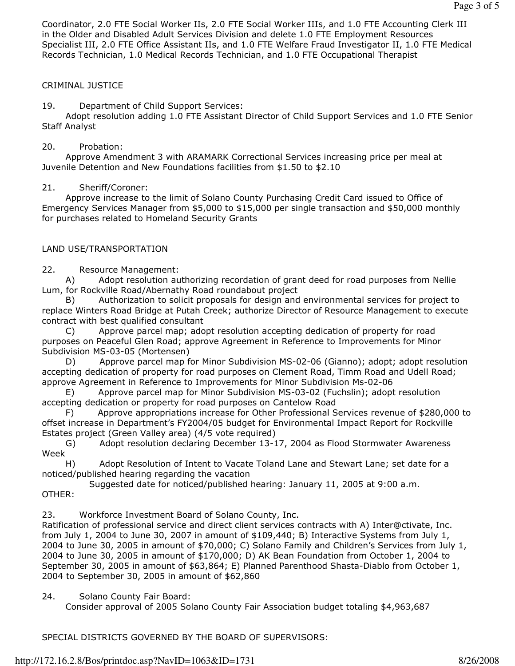Coordinator, 2.0 FTE Social Worker IIs, 2.0 FTE Social Worker IIIs, and 1.0 FTE Accounting Clerk III in the Older and Disabled Adult Services Division and delete 1.0 FTE Employment Resources Specialist III, 2.0 FTE Office Assistant IIs, and 1.0 FTE Welfare Fraud Investigator II, 1.0 FTE Medical Records Technician, 1.0 Medical Records Technician, and 1.0 FTE Occupational Therapist

### CRIMINAL JUSTICE

19. Department of Child Support Services:

 Adopt resolution adding 1.0 FTE Assistant Director of Child Support Services and 1.0 FTE Senior Staff Analyst

#### 20. Probation:

 Approve Amendment 3 with ARAMARK Correctional Services increasing price per meal at Juvenile Detention and New Foundations facilities from \$1.50 to \$2.10

#### 21. Sheriff/Coroner:

 Approve increase to the limit of Solano County Purchasing Credit Card issued to Office of Emergency Services Manager from \$5,000 to \$15,000 per single transaction and \$50,000 monthly for purchases related to Homeland Security Grants

#### LAND USE/TRANSPORTATION

22. Resource Management:

 A) Adopt resolution authorizing recordation of grant deed for road purposes from Nellie Lum, for Rockville Road/Abernathy Road roundabout project

 B) Authorization to solicit proposals for design and environmental services for project to replace Winters Road Bridge at Putah Creek; authorize Director of Resource Management to execute contract with best qualified consultant

 C) Approve parcel map; adopt resolution accepting dedication of property for road purposes on Peaceful Glen Road; approve Agreement in Reference to Improvements for Minor Subdivision MS-03-05 (Mortensen)

 D) Approve parcel map for Minor Subdivision MS-02-06 (Gianno); adopt; adopt resolution accepting dedication of property for road purposes on Clement Road, Timm Road and Udell Road; approve Agreement in Reference to Improvements for Minor Subdivision Ms-02-06

 E) Approve parcel map for Minor Subdivision MS-03-02 (Fuchslin); adopt resolution accepting dedication or property for road purposes on Cantelow Road

 F) Approve appropriations increase for Other Professional Services revenue of \$280,000 to offset increase in Department's FY2004/05 budget for Environmental Impact Report for Rockville Estates project (Green Valley area) (4/5 vote required)

 G) Adopt resolution declaring December 13-17, 2004 as Flood Stormwater Awareness Week

 H) Adopt Resolution of Intent to Vacate Toland Lane and Stewart Lane; set date for a noticed/published hearing regarding the vacation

 Suggested date for noticed/published hearing: January 11, 2005 at 9:00 a.m. OTHER:

23. Workforce Investment Board of Solano County, Inc.

Ratification of professional service and direct client services contracts with A) Inter@ctivate, Inc. from July 1, 2004 to June 30, 2007 in amount of \$109,440; B) Interactive Systems from July 1, 2004 to June 30, 2005 in amount of \$70,000; C) Solano Family and Children's Services from July 1, 2004 to June 30, 2005 in amount of \$170,000; D) AK Bean Foundation from October 1, 2004 to September 30, 2005 in amount of \$63,864; E) Planned Parenthood Shasta-Diablo from October 1, 2004 to September 30, 2005 in amount of \$62,860

24. Solano County Fair Board:

Consider approval of 2005 Solano County Fair Association budget totaling \$4,963,687

SPECIAL DISTRICTS GOVERNED BY THE BOARD OF SUPERVISORS: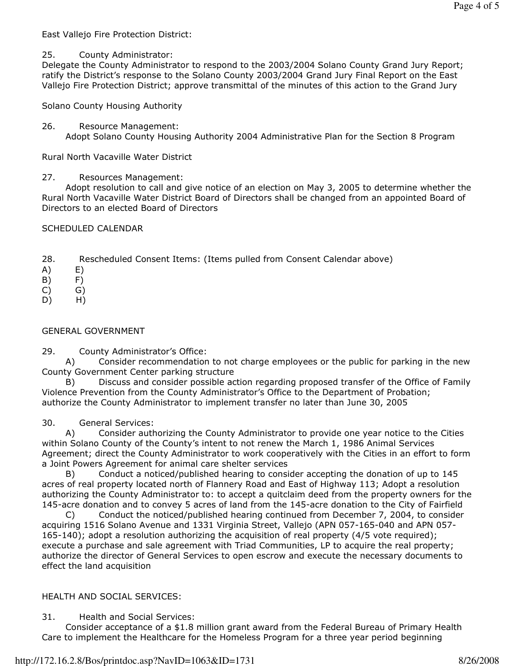East Vallejo Fire Protection District:

### 25. County Administrator:

Delegate the County Administrator to respond to the 2003/2004 Solano County Grand Jury Report; ratify the District's response to the Solano County 2003/2004 Grand Jury Final Report on the East Vallejo Fire Protection District; approve transmittal of the minutes of this action to the Grand Jury

Solano County Housing Authority

26. Resource Management: Adopt Solano County Housing Authority 2004 Administrative Plan for the Section 8 Program

Rural North Vacaville Water District

27. Resources Management:

 Adopt resolution to call and give notice of an election on May 3, 2005 to determine whether the Rural North Vacaville Water District Board of Directors shall be changed from an appointed Board of Directors to an elected Board of Directors

SCHEDULED CALENDAR

- 28. Rescheduled Consent Items: (Items pulled from Consent Calendar above)
- A) E)
- B) F)
- C) G)
- D) H)

### GENERAL GOVERNMENT

29. County Administrator's Office:

 A) Consider recommendation to not charge employees or the public for parking in the new County Government Center parking structure

 B) Discuss and consider possible action regarding proposed transfer of the Office of Family Violence Prevention from the County Administrator's Office to the Department of Probation; authorize the County Administrator to implement transfer no later than June 30, 2005

30. General Services:

 A) Consider authorizing the County Administrator to provide one year notice to the Cities within Solano County of the County's intent to not renew the March 1, 1986 Animal Services Agreement; direct the County Administrator to work cooperatively with the Cities in an effort to form a Joint Powers Agreement for animal care shelter services

 B) Conduct a noticed/published hearing to consider accepting the donation of up to 145 acres of real property located north of Flannery Road and East of Highway 113; Adopt a resolution authorizing the County Administrator to: to accept a quitclaim deed from the property owners for the 145-acre donation and to convey 5 acres of land from the 145-acre donation to the City of Fairfield

 C) Conduct the noticed/published hearing continued from December 7, 2004, to consider acquiring 1516 Solano Avenue and 1331 Virginia Street, Vallejo (APN 057-165-040 and APN 057- 165-140); adopt a resolution authorizing the acquisition of real property (4/5 vote required); execute a purchase and sale agreement with Triad Communities, LP to acquire the real property; authorize the director of General Services to open escrow and execute the necessary documents to effect the land acquisition

### HEALTH AND SOCIAL SERVICES:

31. Health and Social Services:

 Consider acceptance of a \$1.8 million grant award from the Federal Bureau of Primary Health Care to implement the Healthcare for the Homeless Program for a three year period beginning